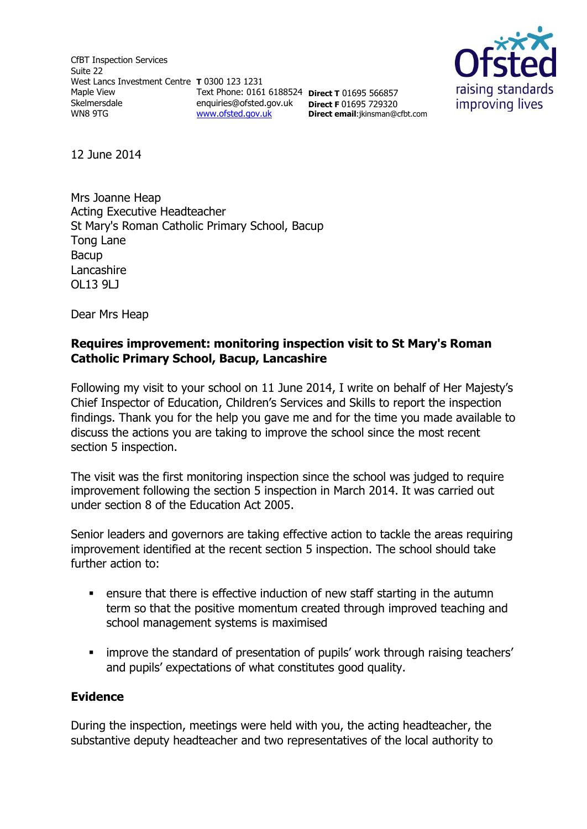CfBT Inspection Services Suite 22 West Lancs Investment Centre **T** 0300 123 1231 Maple View Skelmersdale WN8 9TG Text Phone: 0161 6188524 **Direct T** 01695 566857 enquiries@ofsted.gov.uk **Direct F** 01695 729320 [www.ofsted.gov.uk](http://www.ofsted.gov.uk/)



**Direct email**:jkinsman@cfbt.com

12 June 2014

Mrs Joanne Heap Acting Executive Headteacher St Mary's Roman Catholic Primary School, Bacup Tong Lane Bacup Lancashire OL13 9LJ

Dear Mrs Heap

### **Requires improvement: monitoring inspection visit to St Mary's Roman Catholic Primary School, Bacup, Lancashire**

Following my visit to your school on 11 June 2014, I write on behalf of Her Majesty's Chief Inspector of Education, Children's Services and Skills to report the inspection findings. Thank you for the help you gave me and for the time you made available to discuss the actions you are taking to improve the school since the most recent section 5 inspection.

The visit was the first monitoring inspection since the school was judged to require improvement following the section 5 inspection in March 2014. It was carried out under section 8 of the Education Act 2005.

Senior leaders and governors are taking effective action to tackle the areas requiring improvement identified at the recent section 5 inspection. The school should take further action to:

- ensure that there is effective induction of new staff starting in the autumn term so that the positive momentum created through improved teaching and school management systems is maximised
- improve the standard of presentation of pupils' work through raising teachers' and pupils' expectations of what constitutes good quality.

### **Evidence**

During the inspection, meetings were held with you, the acting headteacher, the substantive deputy headteacher and two representatives of the local authority to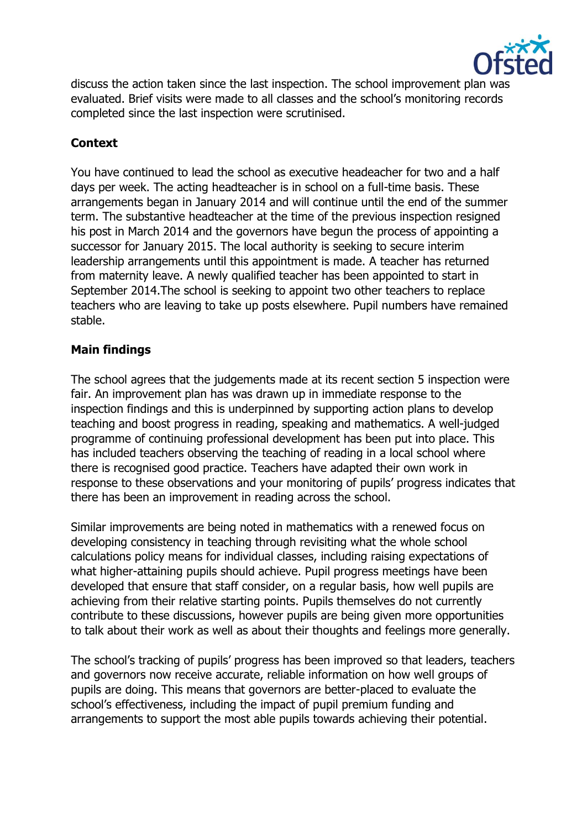

discuss the action taken since the last inspection. The school improvement plan was evaluated. Brief visits were made to all classes and the school's monitoring records completed since the last inspection were scrutinised.

# **Context**

You have continued to lead the school as executive headeacher for two and a half days per week. The acting headteacher is in school on a full-time basis. These arrangements began in January 2014 and will continue until the end of the summer term. The substantive headteacher at the time of the previous inspection resigned his post in March 2014 and the governors have begun the process of appointing a successor for January 2015. The local authority is seeking to secure interim leadership arrangements until this appointment is made. A teacher has returned from maternity leave. A newly qualified teacher has been appointed to start in September 2014.The school is seeking to appoint two other teachers to replace teachers who are leaving to take up posts elsewhere. Pupil numbers have remained stable.

## **Main findings**

The school agrees that the judgements made at its recent section 5 inspection were fair. An improvement plan has was drawn up in immediate response to the inspection findings and this is underpinned by supporting action plans to develop teaching and boost progress in reading, speaking and mathematics. A well-judged programme of continuing professional development has been put into place. This has included teachers observing the teaching of reading in a local school where there is recognised good practice. Teachers have adapted their own work in response to these observations and your monitoring of pupils' progress indicates that there has been an improvement in reading across the school.

Similar improvements are being noted in mathematics with a renewed focus on developing consistency in teaching through revisiting what the whole school calculations policy means for individual classes, including raising expectations of what higher-attaining pupils should achieve. Pupil progress meetings have been developed that ensure that staff consider, on a regular basis, how well pupils are achieving from their relative starting points. Pupils themselves do not currently contribute to these discussions, however pupils are being given more opportunities to talk about their work as well as about their thoughts and feelings more generally.

The school's tracking of pupils' progress has been improved so that leaders, teachers and governors now receive accurate, reliable information on how well groups of pupils are doing. This means that governors are better-placed to evaluate the school's effectiveness, including the impact of pupil premium funding and arrangements to support the most able pupils towards achieving their potential.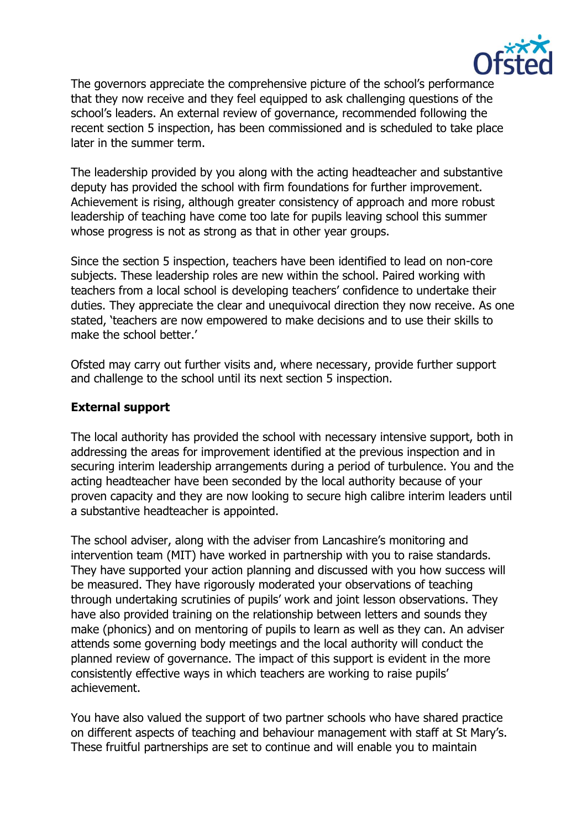

The governors appreciate the comprehensive picture of the school's performance that they now receive and they feel equipped to ask challenging questions of the school's leaders. An external review of governance, recommended following the recent section 5 inspection, has been commissioned and is scheduled to take place later in the summer term.

The leadership provided by you along with the acting headteacher and substantive deputy has provided the school with firm foundations for further improvement. Achievement is rising, although greater consistency of approach and more robust leadership of teaching have come too late for pupils leaving school this summer whose progress is not as strong as that in other year groups.

Since the section 5 inspection, teachers have been identified to lead on non-core subjects. These leadership roles are new within the school. Paired working with teachers from a local school is developing teachers' confidence to undertake their duties. They appreciate the clear and unequivocal direction they now receive. As one stated, 'teachers are now empowered to make decisions and to use their skills to make the school better.'

Ofsted may carry out further visits and, where necessary, provide further support and challenge to the school until its next section 5 inspection.

## **External support**

The local authority has provided the school with necessary intensive support, both in addressing the areas for improvement identified at the previous inspection and in securing interim leadership arrangements during a period of turbulence. You and the acting headteacher have been seconded by the local authority because of your proven capacity and they are now looking to secure high calibre interim leaders until a substantive headteacher is appointed.

The school adviser, along with the adviser from Lancashire's monitoring and intervention team (MIT) have worked in partnership with you to raise standards. They have supported your action planning and discussed with you how success will be measured. They have rigorously moderated your observations of teaching through undertaking scrutinies of pupils' work and joint lesson observations. They have also provided training on the relationship between letters and sounds they make (phonics) and on mentoring of pupils to learn as well as they can. An adviser attends some governing body meetings and the local authority will conduct the planned review of governance. The impact of this support is evident in the more consistently effective ways in which teachers are working to raise pupils' achievement.

You have also valued the support of two partner schools who have shared practice on different aspects of teaching and behaviour management with staff at St Mary's. These fruitful partnerships are set to continue and will enable you to maintain